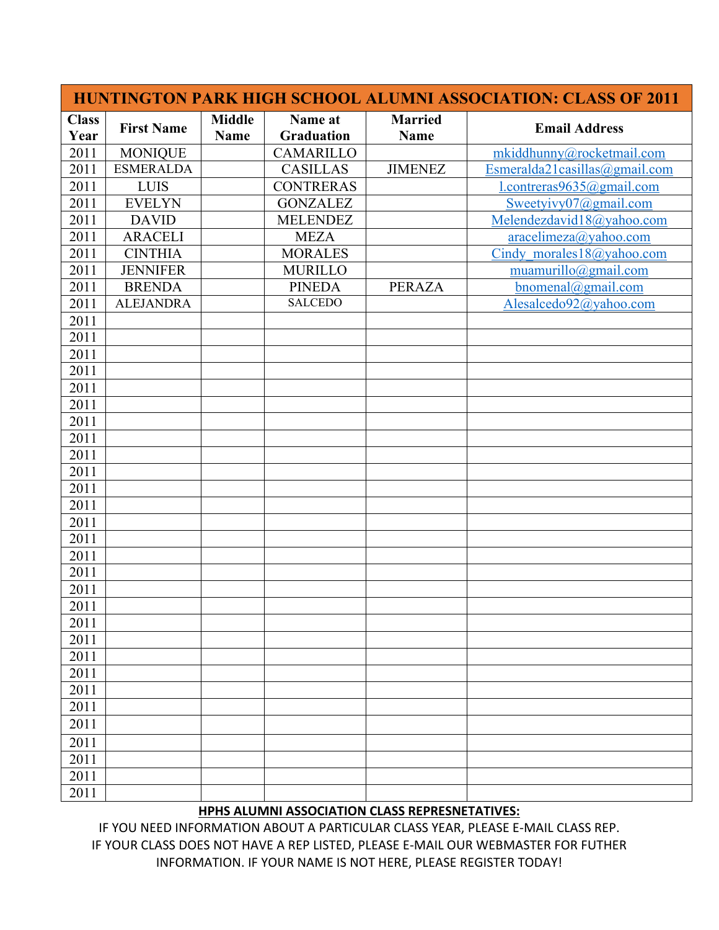|                      |                   |                              |                              | <b>HUNTINGTON PARK HIGH SCHOOL ALUMNI ASSOCIATION: CLASS OF 2011</b> |                                  |  |
|----------------------|-------------------|------------------------------|------------------------------|----------------------------------------------------------------------|----------------------------------|--|
| <b>Class</b><br>Year | <b>First Name</b> | <b>Middle</b><br><b>Name</b> | Name at<br><b>Graduation</b> | <b>Married</b><br><b>Name</b>                                        | <b>Email Address</b>             |  |
| 2011                 | <b>MONIQUE</b>    |                              | CAMARILLO                    |                                                                      | mkiddhunny@rocketmail.com        |  |
| 2011                 | <b>ESMERALDA</b>  |                              | <b>CASILLAS</b>              | <b>JIMENEZ</b>                                                       | Esmeralda21casillas@gmail.com    |  |
| 2011                 | <b>LUIS</b>       |                              | <b>CONTRERAS</b>             |                                                                      | $1$ .contreras $9635$ @gmail.com |  |
| 2011                 | <b>EVELYN</b>     |                              | <b>GONZALEZ</b>              |                                                                      | Sweetyivy07@gmail.com            |  |
| 2011                 | <b>DAVID</b>      |                              | <b>MELENDEZ</b>              |                                                                      | Melendezdavid18@yahoo.com        |  |
| 2011                 | <b>ARACELI</b>    |                              | <b>MEZA</b>                  |                                                                      | aracelineza@yahoo.com            |  |
| 2011                 | <b>CINTHIA</b>    |                              | <b>MORALES</b>               |                                                                      | Cindy morales 18@yahoo.com       |  |
| 2011                 | <b>JENNIFER</b>   |                              | <b>MURILLO</b>               |                                                                      | muamurillo@gmail.com             |  |
| 2011                 | <b>BRENDA</b>     |                              | <b>PINEDA</b>                | <b>PERAZA</b>                                                        | $binom{1}{2}$ gmail.com          |  |
| 2011                 | <b>ALEJANDRA</b>  |                              | <b>SALCEDO</b>               |                                                                      | Alesalcedo92@yahoo.com           |  |
| 2011                 |                   |                              |                              |                                                                      |                                  |  |
| 2011                 |                   |                              |                              |                                                                      |                                  |  |
| 2011                 |                   |                              |                              |                                                                      |                                  |  |
| 2011                 |                   |                              |                              |                                                                      |                                  |  |
| 2011                 |                   |                              |                              |                                                                      |                                  |  |
| 2011                 |                   |                              |                              |                                                                      |                                  |  |
| 2011                 |                   |                              |                              |                                                                      |                                  |  |
| 2011                 |                   |                              |                              |                                                                      |                                  |  |
| 2011                 |                   |                              |                              |                                                                      |                                  |  |
| 2011                 |                   |                              |                              |                                                                      |                                  |  |
| 2011                 |                   |                              |                              |                                                                      |                                  |  |
| 2011                 |                   |                              |                              |                                                                      |                                  |  |
| 2011                 |                   |                              |                              |                                                                      |                                  |  |
| 2011                 |                   |                              |                              |                                                                      |                                  |  |
| 2011                 |                   |                              |                              |                                                                      |                                  |  |
| 2011                 |                   |                              |                              |                                                                      |                                  |  |
| 2011                 |                   |                              |                              |                                                                      |                                  |  |
| 2011                 |                   |                              |                              |                                                                      |                                  |  |
| 2011                 |                   |                              |                              |                                                                      |                                  |  |
| 2011                 |                   |                              |                              |                                                                      |                                  |  |
| 2011                 |                   |                              |                              |                                                                      |                                  |  |
| 2011                 |                   |                              |                              |                                                                      |                                  |  |
| 2011                 |                   |                              |                              |                                                                      |                                  |  |
| 2011                 |                   |                              |                              |                                                                      |                                  |  |
| 2011                 |                   |                              |                              |                                                                      |                                  |  |
| 2011                 |                   |                              |                              |                                                                      |                                  |  |
| 2011                 |                   |                              |                              |                                                                      |                                  |  |
| 2011                 |                   |                              |                              |                                                                      |                                  |  |
| 2011                 |                   |                              |                              |                                                                      |                                  |  |

## **HPHS ALUMNI ASSOCIATION CLASS REPRESNETATIVES:**

IF YOU NEED INFORMATION ABOUT A PARTICULAR CLASS YEAR, PLEASE E-MAIL CLASS REP. IF YOUR CLASS DOES NOT HAVE A REP LISTED, PLEASE E-MAIL OUR WEBMASTER FOR FUTHER INFORMATION. IF YOUR NAME IS NOT HERE, PLEASE REGISTER TODAY!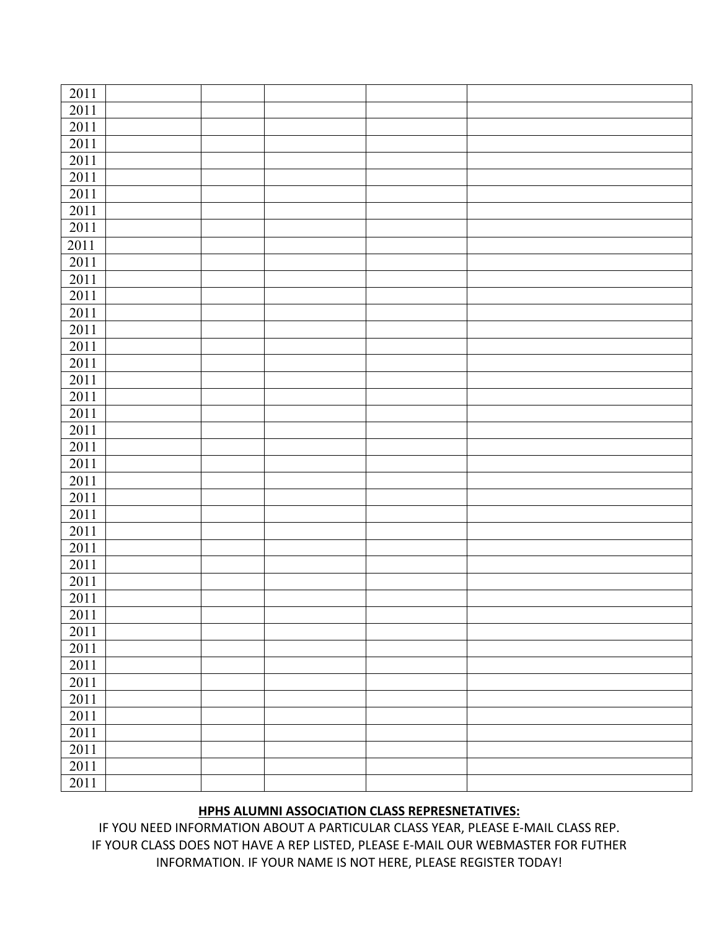| $\overline{20}11$ |  |  |  |
|-------------------|--|--|--|
| 2011              |  |  |  |
| 2011              |  |  |  |
| 2011              |  |  |  |
| 2011              |  |  |  |
| 2011              |  |  |  |
| 2011              |  |  |  |
| 2011              |  |  |  |
| 2011              |  |  |  |
| 2011              |  |  |  |
| 2011              |  |  |  |
| $2011\,$          |  |  |  |
| 2011              |  |  |  |
| 2011              |  |  |  |
| 2011              |  |  |  |
| 2011              |  |  |  |
| 2011              |  |  |  |
| 2011              |  |  |  |
| 2011              |  |  |  |
| $2011\,$          |  |  |  |
| 2011              |  |  |  |
| 2011              |  |  |  |
| 2011              |  |  |  |
| 2011              |  |  |  |
| 2011              |  |  |  |
| 2011              |  |  |  |
| 2011              |  |  |  |
| 2011              |  |  |  |
| 2011              |  |  |  |
| 2011              |  |  |  |
| 2011              |  |  |  |
| 2011              |  |  |  |
| 2011              |  |  |  |
| 2011              |  |  |  |
| 2011              |  |  |  |
| 2011              |  |  |  |
| 2011              |  |  |  |
| 2011              |  |  |  |
| 2011              |  |  |  |
| 2011              |  |  |  |
| 2011              |  |  |  |
| 2011              |  |  |  |
|                   |  |  |  |

## **HPHS ALUMNI ASSOCIATION CLASS REPRESNETATIVES:**

IF YOU NEED INFORMATION ABOUT A PARTICULAR CLASS YEAR, PLEASE E-MAIL CLASS REP. IF YOUR CLASS DOES NOT HAVE A REP LISTED, PLEASE E-MAIL OUR WEBMASTER FOR FUTHER INFORMATION. IF YOUR NAME IS NOT HERE, PLEASE REGISTER TODAY!